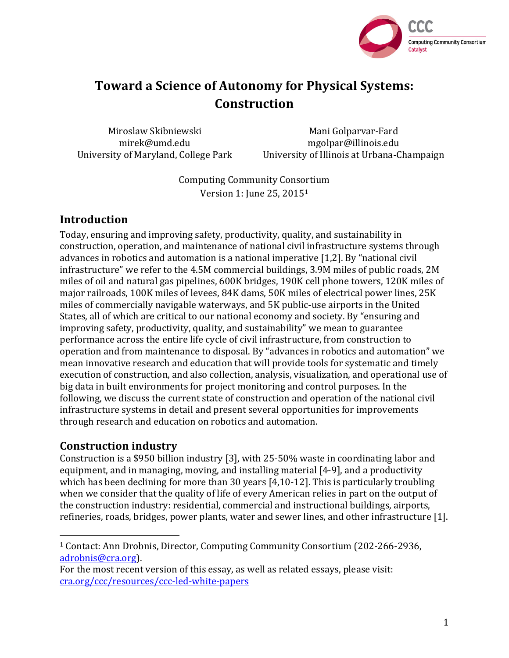

# **Toward a Science of Autonomy for Physical Systems: Construction**

Miroslaw Skibniewski mirek@umd.edu University of Maryland, College Park

Mani Golparvar-Fard mgolpar@illinois.edu University of Illinois at Urbana-Champaign

Computing Community Consortium Version 1: June 25, 2015<sup>1</sup>

## **Introduction**

Today, ensuring and improving safety, productivity, quality, and sustainability in construction, operation, and maintenance of national civil infrastructure systems through advances in robotics and automation is a national imperative  $[1,2]$ . By "national civil infrastructure" we refer to the 4.5M commercial buildings, 3.9M miles of public roads, 2M miles of oil and natural gas pipelines, 600K bridges, 190K cell phone towers, 120K miles of major railroads, 100K miles of levees, 84K dams, 50K miles of electrical power lines, 25K miles of commercially navigable waterways, and 5K public-use airports in the United States, all of which are critical to our national economy and society. By "ensuring and improving safety, productivity, quality, and sustainability" we mean to guarantee performance across the entire life cycle of civil infrastructure, from construction to operation and from maintenance to disposal. By "advances in robotics and automation" we mean innovative research and education that will provide tools for systematic and timely execution of construction, and also collection, analysis, visualization, and operational use of big data in built environments for project monitoring and control purposes. In the following, we discuss the current state of construction and operation of the national civil infrastructure systems in detail and present several opportunities for improvements through research and education on robotics and automation.

## **Construction industry**

Construction is a \$950 billion industry [3], with  $25-50%$  waste in coordinating labor and equipment, and in managing, moving, and installing material  $[4-9]$ , and a productivity which has been declining for more than  $30$  years  $[4,10-12]$ . This is particularly troubling when we consider that the quality of life of every American relies in part on the output of the construction industry: residential, commercial and instructional buildings, airports, refineries, roads, bridges, power plants, water and sewer lines, and other infrastructure [1].

<sup>&</sup>lt;sup>1</sup> Contact: Ann Drobnis, Director, Computing Community Consortium (202-266-2936, adrobnis@cra.org). 

For the most recent version of this essay, as well as related essays, please visit: cra.org/ccc/resources/ccc-led-white-papers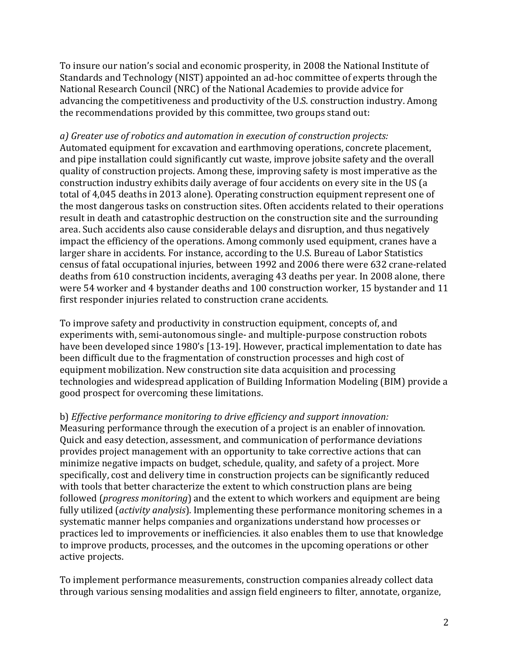To insure our nation's social and economic prosperity, in 2008 the National Institute of Standards and Technology (NIST) appointed an ad-hoc committee of experts through the National Research Council (NRC) of the National Academies to provide advice for advancing the competitiveness and productivity of the U.S. construction industry. Among the recommendations provided by this committee, two groups stand out:

*a)* Greater use of robotics and automation in execution of construction projects: Automated equipment for excavation and earthmoving operations, concrete placement, and pipe installation could significantly cut waste, improve jobsite safety and the overall quality of construction projects. Among these, improving safety is most imperative as the construction industry exhibits daily average of four accidents on every site in the US (a total of 4,045 deaths in 2013 alone). Operating construction equipment represent one of the most dangerous tasks on construction sites. Often accidents related to their operations result in death and catastrophic destruction on the construction site and the surrounding area. Such accidents also cause considerable delays and disruption, and thus negatively impact the efficiency of the operations. Among commonly used equipment, cranes have a larger share in accidents. For instance, according to the U.S. Bureau of Labor Statistics census of fatal occupational injuries, between 1992 and 2006 there were 632 crane-related deaths from 610 construction incidents, averaging 43 deaths per year. In 2008 alone, there were 54 worker and 4 bystander deaths and 100 construction worker, 15 bystander and 11 first responder injuries related to construction crane accidents.

To improve safety and productivity in construction equipment, concepts of, and experiments with, semi-autonomous single- and multiple-purpose construction robots have been developed since 1980's [13-19]. However, practical implementation to date has been difficult due to the fragmentation of construction processes and high cost of equipment mobilization. New construction site data acquisition and processing technologies and widespread application of Building Information Modeling (BIM) provide a good prospect for overcoming these limitations.

b) *Effective performance monitoring to drive efficiency and support innovation:* 

Measuring performance through the execution of a project is an enabler of innovation. Quick and easy detection, assessment, and communication of performance deviations provides project management with an opportunity to take corrective actions that can minimize negative impacts on budget, schedule, quality, and safety of a project. More specifically, cost and delivery time in construction projects can be significantly reduced with tools that better characterize the extent to which construction plans are being followed (*progress monitoring*) and the extent to which workers and equipment are being fully utilized *(activity analysis)*. Implementing these performance monitoring schemes in a systematic manner helps companies and organizations understand how processes or practices led to improvements or inefficiencies. it also enables them to use that knowledge to improve products, processes, and the outcomes in the upcoming operations or other active projects.

To implement performance measurements, construction companies already collect data through various sensing modalities and assign field engineers to filter, annotate, organize,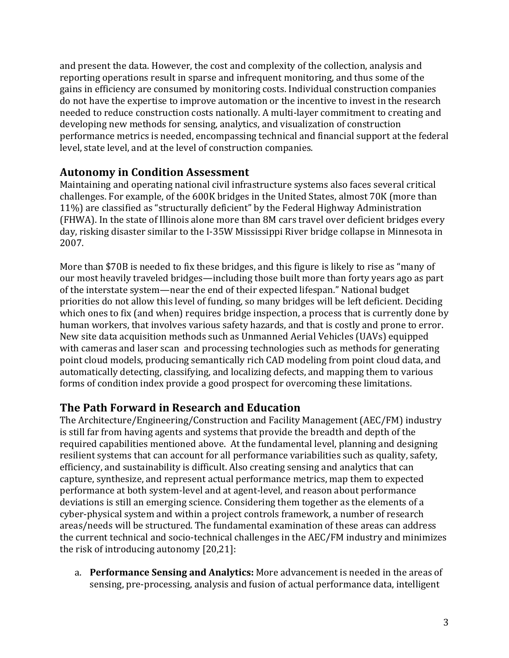and present the data. However, the cost and complexity of the collection, analysis and reporting operations result in sparse and infrequent monitoring, and thus some of the gains in efficiency are consumed by monitoring costs. Individual construction companies do not have the expertise to improve automation or the incentive to invest in the research needed to reduce construction costs nationally. A multi-layer commitment to creating and developing new methods for sensing, analytics, and visualization of construction performance metrics is needed, encompassing technical and financial support at the federal level, state level, and at the level of construction companies.

## **Autonomy in Condition Assessment**

Maintaining and operating national civil infrastructure systems also faces several critical challenges. For example, of the 600K bridges in the United States, almost 70K (more than 11%) are classified as "structurally deficient" by the Federal Highway Administration (FHWA). In the state of Illinois alone more than 8M cars travel over deficient bridges every day, risking disaster similar to the I-35W Mississippi River bridge collapse in Minnesota in 2007. 

More than \$70B is needed to fix these bridges, and this figure is likely to rise as "many of our most heavily traveled bridges—including those built more than forty years ago as part of the interstate system—near the end of their expected lifespan." National budget priorities do not allow this level of funding, so many bridges will be left deficient. Deciding which ones to fix (and when) requires bridge inspection, a process that is currently done by human workers, that involves various safety hazards, and that is costly and prone to error. New site data acquisition methods such as Unmanned Aerial Vehicles (UAVs) equipped with cameras and laser scan and processing technologies such as methods for generating point cloud models, producing semantically rich CAD modeling from point cloud data, and automatically detecting, classifying, and localizing defects, and mapping them to various forms of condition index provide a good prospect for overcoming these limitations.

## **The Path Forward in Research and Education**

The Architecture/Engineering/Construction and Facility Management (AEC/FM) industry is still far from having agents and systems that provide the breadth and depth of the required capabilities mentioned above. At the fundamental level, planning and designing resilient systems that can account for all performance variabilities such as quality, safety, efficiency, and sustainability is difficult. Also creating sensing and analytics that can capture, synthesize, and represent actual performance metrics, map them to expected performance at both system-level and at agent-level, and reason about performance deviations is still an emerging science. Considering them together as the elements of a cyber-physical system and within a project controls framework, a number of research areas/needs will be structured. The fundamental examination of these areas can address the current technical and socio-technical challenges in the AEC/FM industry and minimizes the risk of introducing autonomy  $[20,21]$ :

a. **Performance Sensing and Analytics:** More advancement is needed in the areas of sensing, pre-processing, analysis and fusion of actual performance data, intelligent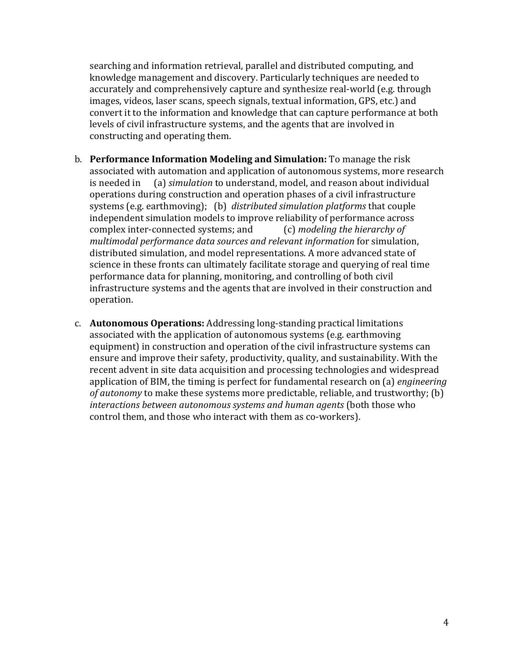searching and information retrieval, parallel and distributed computing, and knowledge management and discovery. Particularly techniques are needed to accurately and comprehensively capture and synthesize real-world (e.g. through images, videos, laser scans, speech signals, textual information, GPS, etc.) and convert it to the information and knowledge that can capture performance at both levels of civil infrastructure systems, and the agents that are involved in constructing and operating them.

- **b. Performance Information Modeling and Simulation:** To manage the risk associated with automation and application of autonomous systems, more research is needed in (a) *simulation* to understand, model, and reason about individual operations during construction and operation phases of a civil infrastructure systems (e.g. earthmoving); (b) *distributed simulation platforms* that couple independent simulation models to improve reliability of performance across complex inter-connected systems; and (c) *modeling the hierarchy of multimodal performance data sources and relevant information* for simulation, distributed simulation, and model representations. A more advanced state of science in these fronts can ultimately facilitate storage and querying of real time performance data for planning, monitoring, and controlling of both civil infrastructure systems and the agents that are involved in their construction and operation.
- c. **Autonomous Operations:** Addressing long-standing practical limitations associated with the application of autonomous systems (e.g. earthmoving equipment) in construction and operation of the civil infrastructure systems can ensure and improve their safety, productivity, quality, and sustainability. With the recent advent in site data acquisition and processing technologies and widespread application of BIM, the timing is perfect for fundamental research on (a) *engineering of autonomy* to make these systems more predictable, reliable, and trustworthy; (b) interactions between autonomous systems and human agents (both those who control them, and those who interact with them as co-workers).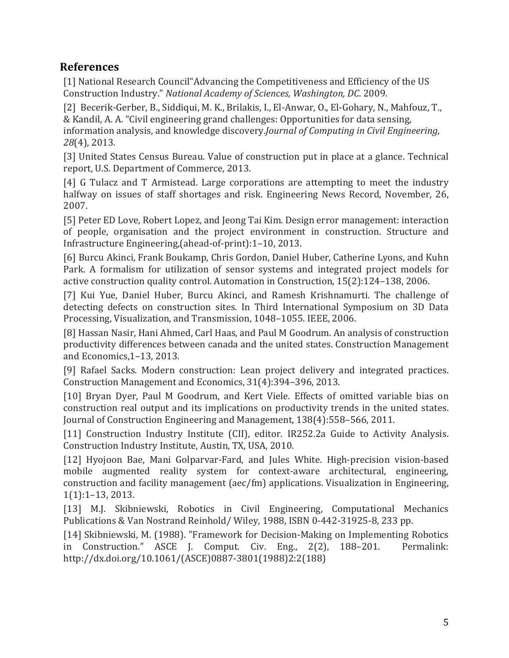## **References**

[1] National Research Council"Advancing the Competitiveness and Efficiency of the US Construction Industry." *National Academy of Sciences, Washington, DC.* 2009.

[2] Becerik-Gerber, B., Siddiqui, M. K., Brilakis, I., El-Anwar, O., El-Gohary, N., Mahfouz, T., & Kandil, A. A. "Civil engineering grand challenges: Opportunities for data sensing, information analysis, and knowledge discovery.*Journal of Computing in Civil Engineering*, *28*(4), 2013.

[3] United States Census Bureau. Value of construction put in place at a glance. Technical report, U.S. Department of Commerce, 2013.

[4] G Tulacz and T Armistead. Large corporations are attempting to meet the industry halfway on issues of staff shortages and risk. Engineering News Record, November, 26, 2007.

[5] Peter ED Love, Robert Lopez, and Jeong Tai Kim. Design error management: interaction of people, organisation and the project environment in construction. Structure and Infrastructure Engineering,(ahead-of-print):1–10, 2013.

[6] Burcu Akinci, Frank Boukamp, Chris Gordon, Daniel Huber, Catherine Lyons, and Kuhn Park. A formalism for utilization of sensor systems and integrated project models for active construction quality control. Automation in Construction,  $15(2):124-138$ , 2006.

[7] Kui Yue, Daniel Huber, Burcu Akinci, and Ramesh Krishnamurti. The challenge of detecting defects on construction sites. In Third International Symposium on 3D Data Processing, Visualization, and Transmission, 1048-1055. IEEE, 2006.

[8] Hassan Nasir, Hani Ahmed, Carl Haas, and Paul M Goodrum. An analysis of construction productivity differences between canada and the united states. Construction Management and Economics, 1-13, 2013.

[9] Rafael Sacks. Modern construction: Lean project delivery and integrated practices. Construction Management and Economics, 31(4):394-396, 2013.

[10] Bryan Dyer, Paul M Goodrum, and Kert Viele. Effects of omitted variable bias on construction real output and its implications on productivity trends in the united states. Journal of Construction Engineering and Management, 138(4):558-566, 2011.

[11] Construction Industry Institute (CII), editor. IR252.2a Guide to Activity Analysis. Construction Industry Institute, Austin, TX, USA, 2010.

[12] Hyojoon Bae, Mani Golparvar-Fard, and Jules White. High-precision vision-based mobile augmented reality system for context-aware architectural, engineering, construction and facility management (aec/fm) applications. Visualization in Engineering,  $1(1):1-13,2013.$ 

[13] M.J. Skibniewski, Robotics in Civil Engineering, Computational Mechanics Publications & Van Nostrand Reinhold/ Wiley, 1988, ISBN 0-442-31925-8, 233 pp.

[14] Skibniewski, M. (1988). "Framework for Decision-Making on Implementing Robotics in Construction." ASCE J. Comput. Civ. Eng., 2(2), 188-201. Permalink: http://dx.doi.org/10.1061/(ASCE)0887-3801(1988)2:2(188)